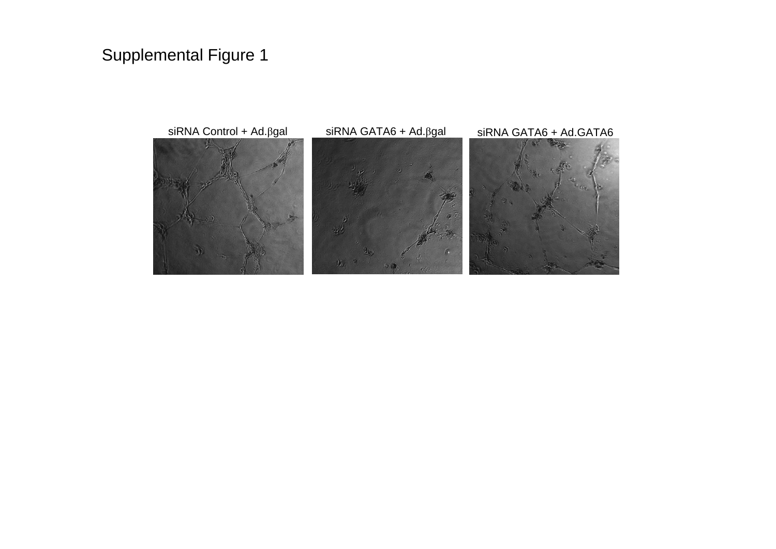## Supplemental Figure 1

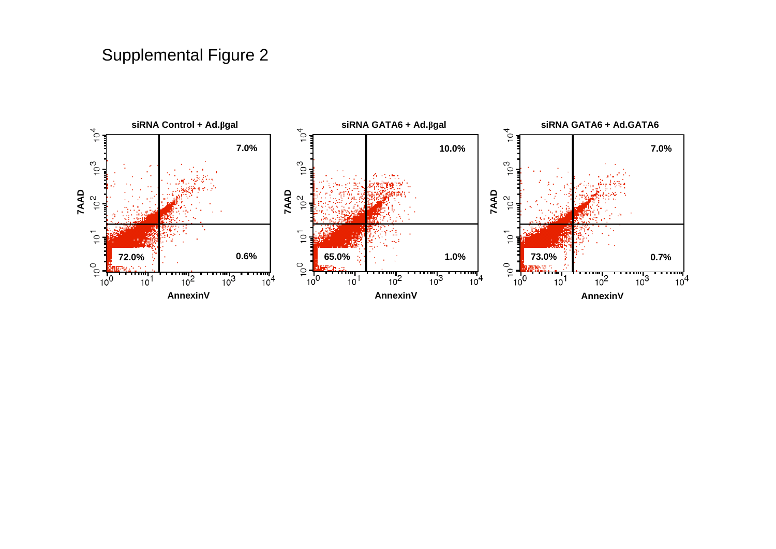## Supplemental Figure 2